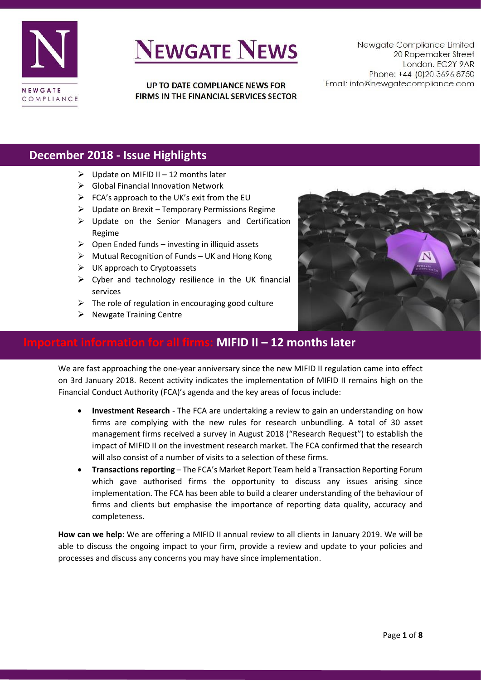

UP TO DATE COMPLIANCE NEWS FOR FIRMS IN THE FINANCIAL SERVICES SECTOR

Newgate Compliance Limited 20 Ropemaker Street London. EC2Y 9AR Phone: +44 (0)20 3696 8750 Email: info@newgatecompliance.com

### **December 2018 - Issue Highlights**

- $\triangleright$  Update on MIFID II 12 months later
- ➢ Global Financial Innovation Network
- $\triangleright$  FCA's approach to the UK's exit from the EU
- $\triangleright$  Update on Brexit Temporary Permissions Regime
- ➢ Update on the Senior Managers and Certification Regime
- $\triangleright$  Open Ended funds investing in illiquid assets
- ➢ Mutual Recognition of Funds UK and Hong Kong
- $\triangleright$  UK approach to Cryptoassets
- $\triangleright$  Cyber and technology resilience in the UK financial services
- $\triangleright$  The role of regulation in encouraging good culture
- $\triangleright$  Newgate Training Centre



### **Important information for all firms: MIFID II – 12 months later**

We are fast approaching the one-year anniversary since the new MIFID II regulation came into effect on 3rd January 2018. Recent activity indicates the implementation of MIFID II remains high on the Financial Conduct Authority (FCA)'s agenda and the key areas of focus include:

- **Investment Research** The FCA are undertaking a review to gain an understanding on how firms are complying with the new rules for research unbundling. A total of 30 asset management firms received a survey in August 2018 ("Research Request") to establish the impact of MIFID II on the investment research market. The FCA confirmed that the research will also consist of a number of visits to a selection of these firms.
- **Transactions reporting** The FCA's Market Report Team held a Transaction Reporting Forum which gave authorised firms the opportunity to discuss any issues arising since implementation. The FCA has been able to build a clearer understanding of the behaviour of firms and clients but emphasise the importance of reporting data quality, accuracy and completeness.

**How can we help**: We are offering a MIFID II annual review to all clients in January 2019. We will be able to discuss the ongoing impact to your firm, provide a review and update to your policies and processes and discuss any concerns you may have since implementation.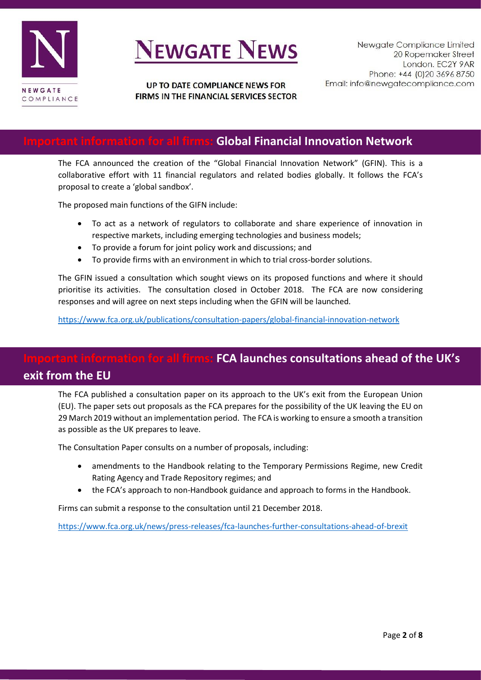

### **Important information for all firms: Global Financial Innovation Network**

The FCA announced the creation of the "Global Financial Innovation Network" (GFIN). This is a collaborative effort with 11 financial regulators and related bodies globally. It follows the FCA's proposal to create a 'global sandbox'.

The proposed main functions of the GIFN include:

- To act as a network of regulators to collaborate and share experience of innovation in respective markets, including emerging technologies and business models;
- To provide a forum for joint policy work and discussions; and
- To provide firms with an environment in which to trial cross-border solutions.

The GFIN issued a consultation which sought views on its proposed functions and where it should prioritise its activities. The consultation closed in October 2018. The FCA are now considering responses and will agree on next steps including when the GFIN will be launched.

<https://www.fca.org.uk/publications/consultation-papers/global-financial-innovation-network>

## **Ill firms: FCA launches consultations ahead of the UK's exit from the EU**

The FCA published a consultation paper on its approach to the UK's exit from the European Union (EU). The paper sets out proposals as the FCA prepares for the possibility of the UK leaving the EU on 29 March 2019 without an implementation period. The FCA is working to ensure a smooth a transition as possible as the UK prepares to leave.

The Consultation Paper consults on a number of proposals, including:

- amendments to the Handbook relating to the Temporary Permissions Regime, new Credit Rating Agency and Trade Repository regimes; and
- the FCA's approach to non-Handbook guidance and approach to forms in the Handbook.

Firms can submit a response to the consultation until 21 December 2018.

<https://www.fca.org.uk/news/press-releases/fca-launches-further-consultations-ahead-of-brexit>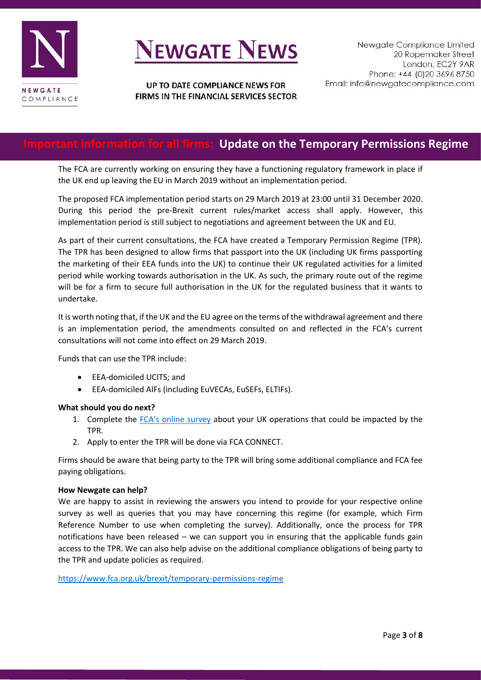

### UP TO DATE COMPLIANCE NEWS FOR FIRMS IN THE FINANCIAL SERVICES SECTOR

## **Important information for all firms: Update on the Temporary Permissions Regime**

The FCA are currently working on ensuring they have a functioning regulatory framework in place if the UK end up leaving the EU in March 2019 without an implementation period.

The proposed FCA implementation period starts on 29 March 2019 at 23:00 until 31 December 2020. During this period the pre-Brexit current rules/market access shall apply. However, this implementation period is still subject to negotiations and agreement between the UK and EU.

As part of their current consultations, the FCA have created a Temporary Permission Regime (TPR). The TPR has been designed to allow firms that passport into the UK (including UK firms passporting the marketing of their EEA funds into the UK) to continue their UK regulated activities for a limited period while working towards authorisation in the UK. As such, the primary route out of the regime will be for a firm to secure full authorisation in the UK for the regulated business that it wants to undertake.

It is worth noting that, if the UK and the EU agree on the terms of the withdrawal agreement and there is an implementation period, the amendments consulted on and reflected in the FCA's current consultations will not come into effect on 29 March 2019.

Funds that can use the TPR include:

- EEA-domiciled UCITS; and
- EEA-domiciled AIFs (including EuVECAs, EuSEFs, ELTIFs).

#### **What should you do next?**

- 1. Complete the [FCA's online survey](https://www.fca.org.uk/brexit/temporary-permissions-regime/survey-eea-inbound-passported-firms) about your UK operations that could be impacted by the TPR.
- 2. Apply to enter the TPR will be done via FCA CONNECT.

Firms should be aware that being party to the TPR will bring some additional compliance and FCA fee paying obligations.

#### **How Newgate can help?**

We are happy to assist in reviewing the answers you intend to provide for your respective online survey as well as queries that you may have concerning this regime (for example, which Firm Reference Number to use when completing the survey). Additionally, once the process for TPR notifications have been released – we can support you in ensuring that the applicable funds gain access to the TPR. We can also help advise on the additional compliance obligations of being party to the TPR and update policies as required.

<https://www.fca.org.uk/brexit/temporary-permissions-regime>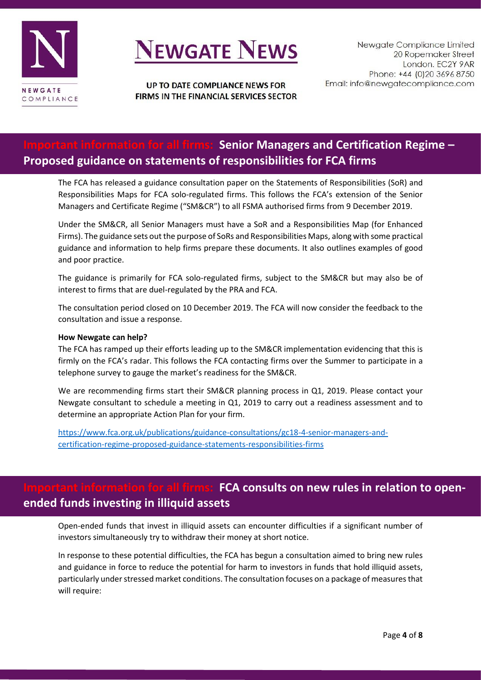

## **Important information for all firms: Senior Managers and Certification Regime – Proposed guidance on statements of responsibilities for FCA firms**

The FCA has released a guidance consultation paper on the Statements of Responsibilities (SoR) and Responsibilities Maps for FCA solo-regulated firms. This follows the FCA's extension of the Senior Managers and Certificate Regime ("SM&CR") to all FSMA authorised firms from 9 December 2019.

Under the SM&CR, all Senior Managers must have a SoR and a Responsibilities Map (for Enhanced Firms). The guidance sets out the purpose of SoRs and Responsibilities Maps, along with some practical guidance and information to help firms prepare these documents. It also outlines examples of good and poor practice.

The guidance is primarily for FCA solo-regulated firms, subject to the SM&CR but may also be of interest to firms that are duel-regulated by the PRA and FCA.

The consultation period closed on 10 December 2019. The FCA will now consider the feedback to the consultation and issue a response.

#### **How Newgate can help?**

The FCA has ramped up their efforts leading up to the SM&CR implementation evidencing that this is firmly on the FCA's radar. This follows the FCA contacting firms over the Summer to participate in a telephone survey to gauge the market's readiness for the SM&CR.

We are recommending firms start their SM&CR planning process in Q1, 2019. Please contact your Newgate consultant to schedule a meeting in Q1, 2019 to carry out a readiness assessment and to determine an appropriate Action Plan for your firm.

[https://www.fca.org.uk/publications/guidance-consultations/gc18-4-senior-managers-and](https://www.fca.org.uk/publications/guidance-consultations/gc18-4-senior-managers-and-certification-regime-proposed-guidance-statements-responsibilities-firms)[certification-regime-proposed-guidance-statements-responsibilities-firms](https://www.fca.org.uk/publications/guidance-consultations/gc18-4-senior-managers-and-certification-regime-proposed-guidance-statements-responsibilities-firms)

### **FCA consults on new rules in relation to openended funds investing in illiquid assets**

Open-ended funds that invest in illiquid assets can encounter difficulties if a significant number of investors simultaneously try to withdraw their money at short notice.

In response to these potential difficulties, the FCA has begun a consultation aimed to bring new rules and guidance in force to reduce the potential for harm to investors in funds that hold illiquid assets, particularly under stressed market conditions. The consultation focuses on a package of measures that will require: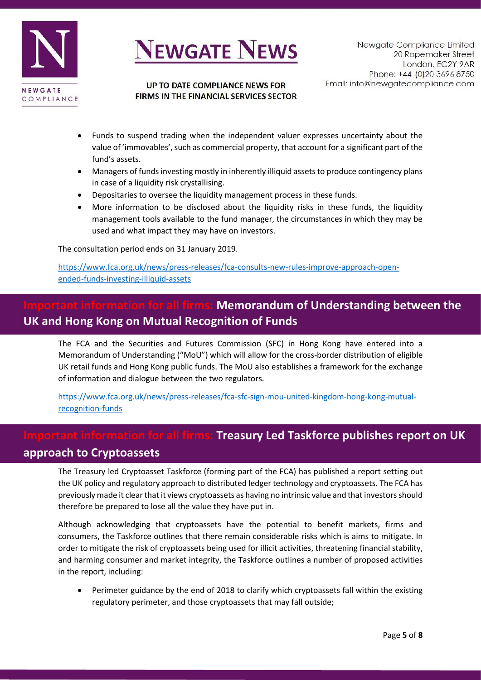

#### UP TO DATE COMPLIANCE NEWS FOR FIRMS IN THE FINANCIAL SERVICES SECTOR

- Funds to suspend trading when the independent valuer expresses uncertainty about the value of 'immovables', such as commercial property, that account for a significant part of the fund's assets.
- Managers of funds investing mostly in inherently illiquid assets to produce contingency plans in case of a liquidity risk crystallising.
- Depositaries to oversee the liquidity management process in these funds.
- More information to be disclosed about the liquidity risks in these funds, the liquidity management tools available to the fund manager, the circumstances in which they may be used and what impact they may have on investors.

The consultation period ends on 31 January 2019.

[https://www.fca.org.uk/news/press-releases/fca-consults-new-rules-improve-approach-open](https://www.fca.org.uk/news/press-releases/fca-consults-new-rules-improve-approach-open-ended-funds-investing-illiquid-assets)[ended-funds-investing-illiquid-assets](https://www.fca.org.uk/news/press-releases/fca-consults-new-rules-improve-approach-open-ended-funds-investing-illiquid-assets)

### **Memorandum of Understanding between the UK and Hong Kong on Mutual Recognition of Funds**

The FCA and the Securities and Futures Commission (SFC) in Hong Kong have entered into a Memorandum of Understanding ("MoU") which will allow for the cross-border distribution of eligible UK retail funds and Hong Kong public funds. The MoU also establishes a framework for the exchange of information and dialogue between the two regulators.

[https://www.fca.org.uk/news/press-releases/fca-sfc-sign-mou-united-kingdom-hong-kong-mutual](https://www.fca.org.uk/news/press-releases/fca-sfc-sign-mou-united-kingdom-hong-kong-mutual-recognition-funds)[recognition-funds](https://www.fca.org.uk/news/press-releases/fca-sfc-sign-mou-united-kingdom-hong-kong-mutual-recognition-funds)

## **Information for Treasury Led Taskforce publishes report on UK**

### **approach to Cryptoassets**

The Treasury led Cryptoasset Taskforce (forming part of the FCA) has published a report setting out the UK policy and regulatory approach to distributed ledger technology and cryptoassets. The FCA has previously made it clear that it views cryptoassets as having no intrinsic value and that investors should therefore be prepared to lose all the value they have put in.

Although acknowledging that cryptoassets have the potential to benefit markets, firms and consumers, the Taskforce outlines that there remain considerable risks which is aims to mitigate. In order to mitigate the risk of cryptoassets being used for illicit activities, threatening financial stability, and harming consumer and market integrity, the Taskforce outlines a number of proposed activities in the report, including:

• Perimeter guidance by the end of 2018 to clarify which cryptoassets fall within the existing regulatory perimeter, and those cryptoassets that may fall outside;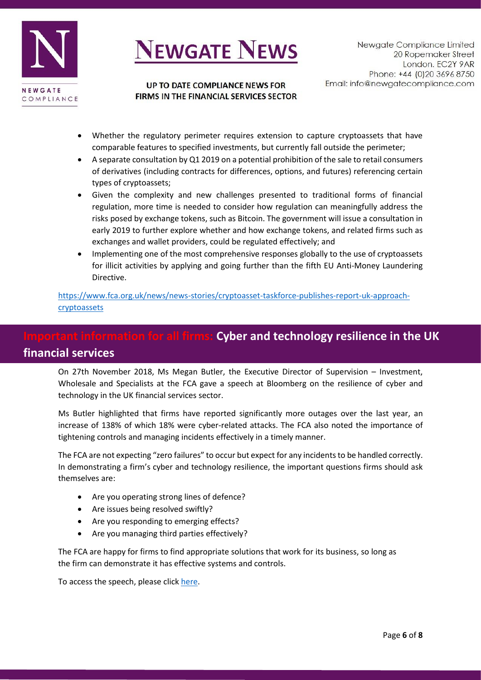



#### UP TO DATE COMPLIANCE NEWS FOR FIRMS IN THE FINANCIAL SERVICES SECTOR

- Whether the regulatory perimeter requires extension to capture cryptoassets that have comparable features to specified investments, but currently fall outside the perimeter;
- A separate consultation by Q1 2019 on a potential prohibition of the sale to retail consumers of derivatives (including contracts for differences, options, and futures) referencing certain types of cryptoassets;
- Given the complexity and new challenges presented to traditional forms of financial regulation, more time is needed to consider how regulation can meaningfully address the risks posed by exchange tokens, such as Bitcoin. The government will issue a consultation in early 2019 to further explore whether and how exchange tokens, and related firms such as exchanges and wallet providers, could be regulated effectively; and
- Implementing one of the most comprehensive responses globally to the use of cryptoassets for illicit activities by applying and going further than the fifth EU Anti-Money Laundering Directive.

[https://www.fca.org.uk/news/news-stories/cryptoasset-taskforce-publishes-report-uk-approach](https://www.fca.org.uk/news/news-stories/cryptoasset-taskforce-publishes-report-uk-approach-cryptoassets)[cryptoassets](https://www.fca.org.uk/news/news-stories/cryptoasset-taskforce-publishes-report-uk-approach-cryptoassets)

## **Intant information for all firms: Cyber and technology resilience in the UK financial services**

On 27th November 2018, Ms Megan Butler, the Executive Director of Supervision – Investment, Wholesale and Specialists at the FCA gave a speech at Bloomberg on the resilience of cyber and technology in the UK financial services sector.

Ms Butler highlighted that firms have reported significantly more outages over the last year, an increase of 138% of which 18% were cyber-related attacks. The FCA also noted the importance of tightening controls and managing incidents effectively in a timely manner.

The FCA are not expecting "zero failures" to occur but expect for any incidents to be handled correctly. In demonstrating a firm's cyber and technology resilience, the important questions firms should ask themselves are:

- Are you operating strong lines of defence?
- Are issues being resolved swiftly?
- Are you responding to emerging effects?
- Are you managing third parties effectively?

The FCA are happy for firms to find appropriate solutions that work for its business, so long as the firm can demonstrate it has effective systems and controls.

To access the speech, please click [here.](https://www.fca.org.uk/news/speeches/cyber-and-technology-resilience-uk-financial-services)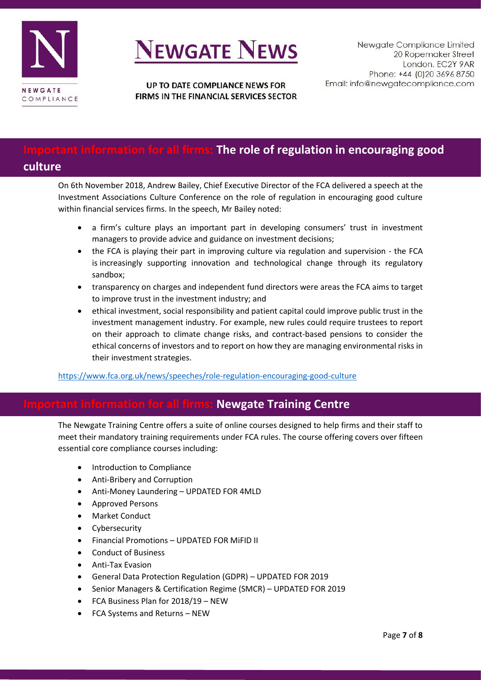

UP TO DATE COMPLIANCE NEWS FOR FIRMS IN THE FINANCIAL SERVICES SECTOR

## **Important information for all firms: The role of regulation in encouraging good**

### **culture**

On 6th November 2018, Andrew Bailey, Chief Executive Director of the FCA delivered a speech at the Investment Associations Culture Conference on the role of regulation in encouraging good culture within financial services firms. In the speech, Mr Bailey noted:

- a firm's culture plays an important part in developing consumers' trust in investment managers to provide advice and guidance on investment decisions;
- the FCA is playing their part in improving culture via regulation and supervision the FCA is increasingly supporting innovation and technological change through its regulatory sandbox;
- transparency on charges and independent fund directors were areas the FCA aims to target to improve trust in the investment industry; and
- ethical investment, social responsibility and patient capital could improve public trust in the investment management industry. For example, new rules could require trustees to report on their approach to climate change risks, and contract-based pensions to consider the ethical concerns of investors and to report on how they are managing environmental risks in their investment strategies.

### <https://www.fca.org.uk/news/speeches/role-regulation-encouraging-good-culture>

### **Newgate Training Centre**

The Newgate Training Centre offers a suite of online courses designed to help firms and their staff to meet their mandatory training requirements under FCA rules. The course offering covers over fifteen essential core compliance courses including:

- Introduction to Compliance
- Anti-Bribery and Corruption
- Anti-Money Laundering UPDATED FOR 4MLD
- Approved Persons
- Market Conduct
- **Cybersecurity**
- Financial Promotions UPDATED FOR MiFID II
- Conduct of Business
- Anti-Tax Evasion
- General Data Protection Regulation (GDPR) UPDATED FOR 2019
- Senior Managers & Certification Regime (SMCR) UPDATED FOR 2019
- FCA Business Plan for 2018/19 NEW
- FCA Systems and Returns NEW